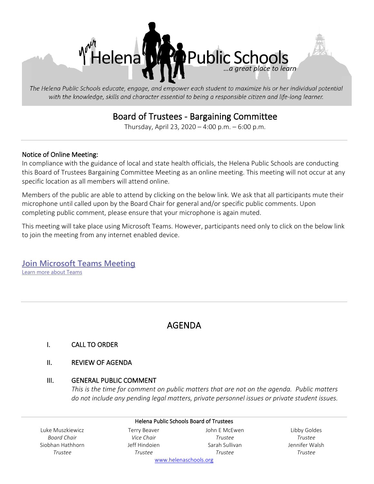

The Helena Public Schools educate, engage, and empower each student to maximize his or her individual potential with the knowledge, skills and character essential to being a responsible citizen and life-long learner.

## Board of Trustees - Bargaining Committee

Thursday, April 23, 2020 – 4:00 p.m. – 6:00 p.m.

#### Notice of Online Meeting:

In compliance with the guidance of local and state health officials, the Helena Public Schools are conducting this Board of Trustees Bargaining Committee Meeting as an online meeting. This meeting will not occur at any specific location as all members will attend online.

Members of the public are able to attend by clicking on the below link. We ask that all participants mute their microphone until called upon by the Board Chair for general and/or specific public comments. Upon completing public comment, please ensure that your microphone is again muted.

This meeting will take place using Microsoft Teams. However, participants need only to click on the below link to join the meeting from any internet enabled device.

**[Join Microsoft Teams Meeting](https://teams.microsoft.com/l/meetup-join/19%3ameeting_NmM4YjNjYzMtMzZmNS00N2RlLWIyYzUtY2ZiNDFmMGEyMzM1%40thread.v2/0?context=%7b%22Tid%22%3a%22f4b4f9cd-c417-4e65-8143-10d0fe789053%22%2c%22Oid%22%3a%225b1f5f71-60c7-43a0-945a-2acdd722f990%22%7d)** [Learn more about Teams](https://aka.ms/JoinTeamsMeeting)

# AGENDA

#### I. CALL TO ORDER

#### II. REVIEW OF AGENDA

#### III. GENERAL PUBLIC COMMENT

*This is the time for comment on public matters that are not on the agenda. Public matters do not include any pending legal matters, private personnel issues or private student issues.*

|                  |               | <b>Helena Public Schools Board of Trustees</b> |                |
|------------------|---------------|------------------------------------------------|----------------|
| Luke Muszkiewicz | Terry Beaver  | John E McEwen                                  | Libby Goldes   |
| Board Chair      | Vice Chair    | Trustee                                        | Trustee        |
| Siobhan Hathhorn | Jeff Hindoien | Sarah Sullivan                                 | Jennifer Walsh |
| Trustee          | Trustee       | Trustee                                        | Trustee        |
|                  |               | www.helenaschools.org                          |                |